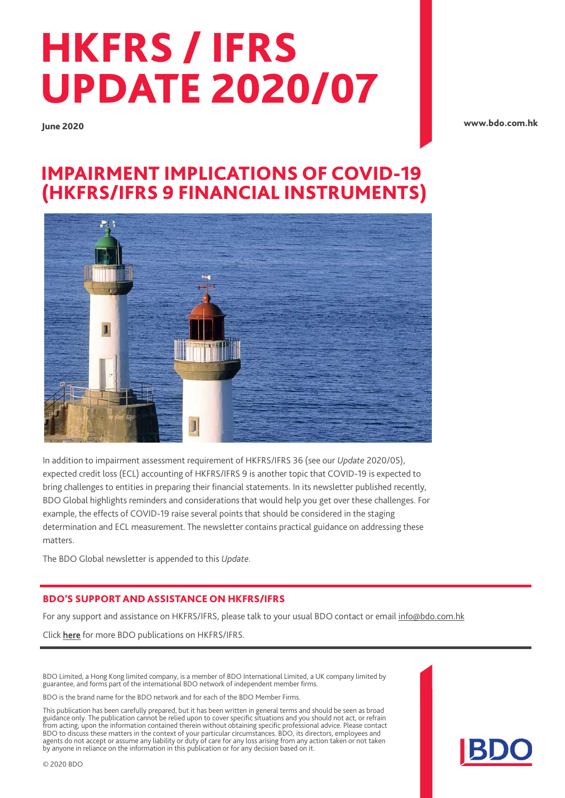# HKFRS / IFRS UPDATE 2020/07

June 2020

[www.bdo.com.hk](http://www.bdo.com.hk/)

## IMPAIRMENT IMPLICATIONS OF COVID-19 (HKFRS/IFRS 9 FINANCIAL INSTRUMENTS)



In addition to impairment assessment requirement of HKFRS/IFRS 36 (see our *Update* 2020/05), expected credit loss (ECL) accounting of HKFRS/IFRS 9 is another topic that COVID-19 is expected to bring challenges to entities in preparing their financial statements. In its newsletter published recently, BDO Global highlights reminders and considerations that would help you get over these challenges. For example, the effects of COVID-19 raise several points that should be considered in the staging determination and ECL measurement. The newsletter contains practical guidance on addressing these matters.

The BDO Global newsletter is appended to this *Update*.

#### BDO'S SUPPORT AND ASSISTANCE ON HKFRS/IFRS

For any support and assistance on HKFRS/IFRS, please talk to your usual BDO contact or email [info@bdo.com.hk](mailto:info@bdo.com.hk)

Click [here](https://www.bdo.com.hk/insights/publications/hkfrs-ifrs-updates) for more BDO publications on HKFRS/IFRS.

BDO Limited, a Hong Kong limited company, is a member of BDO International Limited, a UK company limited by guarantee, and forms part of the international BDO network of independent member firms.

BDO is the brand name for the BDO network and for each of the BDO Member Firms.

This publication has been carefully prepared, but it has been written in general terms and should be seen as broad guidance only. The publication cannot be relied upon to cover specific situations and you should not act, or refrain from acting, upon the information contained therein without obtaining specific professional advice. Please contact BDO to discuss these matters in the context of your particular circumstances. BDO, its directors, employees and agents do not accept or assume any liability or duty of care for any loss arising from any action taken or not taken by anyone in reliance on the information in this publication or for any decision based on it.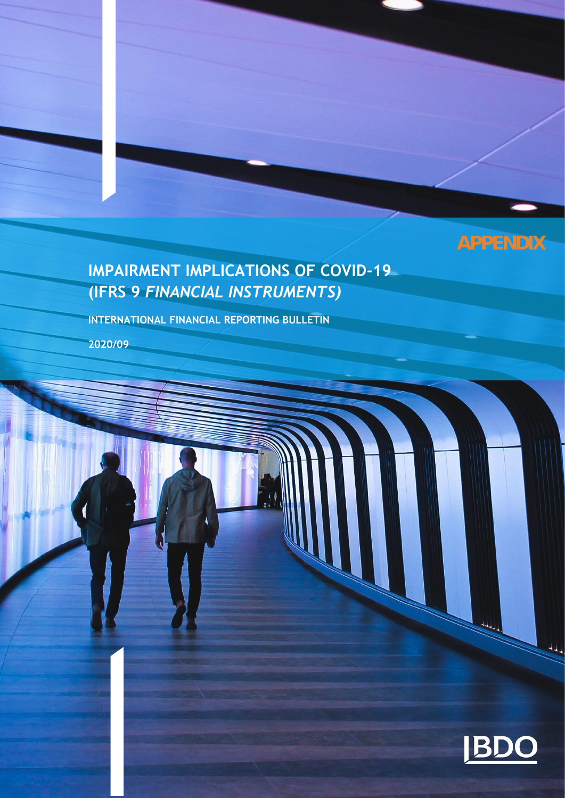## **APPENDIX**

## **IMPAIRMENT IMPLICATIONS OF COVID-19 (IFRS 9** *FINANCIAL INSTRUMENTS)*

**INTERNATIONAL FINANCIAL REPORTING BULLETIN** 

**2020/09**

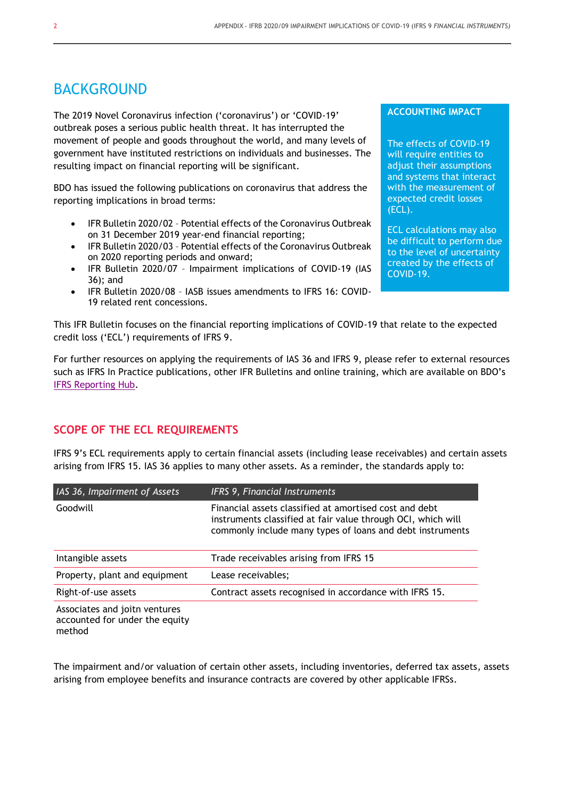### BACKGROUND

The 2019 Novel Coronavirus infection ('coronavirus') or 'COVID-19' outbreak poses a serious public health threat. It has interrupted the movement of people and goods throughout the world, and many levels of government have instituted restrictions on individuals and businesses. The resulting impact on financial reporting will be significant.

BDO has issued the following publications on coronavirus that address the reporting implications in broad terms:

- IFR Bulletin 2020/02 Potential effects of the Coronavirus Outbreak on 31 December 2019 year-end financial reporting;
- IFR Bulletin 2020/03 Potential effects of the Coronavirus Outbreak on 2020 reporting periods and onward;
- IFR Bulletin 2020/07 Impairment implications of COVID-19 (IAS 36); and
- IFR Bulletin 2020/08 IASB issues amendments to IFRS 16: COVID-19 related rent concessions.

This IFR Bulletin focuses on the financial reporting implications of COVID-19 that relate to the expected credit loss ('ECL') requirements of IFRS 9.

For further resources on applying the requirements of IAS 36 and IFRS 9, please refer to external resources such as IFRS In Practice publications, other IFR Bulletins and online training, which are available on BDO's [IFRS Reporting Hub.](https://www.bdo.global/en-gb/microsites/ifrs/ifrs-reporting)

#### **SCOPE OF THE ECL REQUIREMENTS**

IFRS 9's ECL requirements apply to certain financial assets (including lease receivables) and certain assets arising from IFRS 15. IAS 36 applies to many other assets. As a reminder, the standards apply to:

| IAS 36, Impairment of Assets  | <b>IFRS 9, Financial Instruments</b>                                                                                                                                                |
|-------------------------------|-------------------------------------------------------------------------------------------------------------------------------------------------------------------------------------|
| Goodwill                      | Financial assets classified at amortised cost and debt<br>instruments classified at fair value through OCI, which will<br>commonly include many types of loans and debt instruments |
| Intangible assets             | Trade receivables arising from IFRS 15                                                                                                                                              |
| Property, plant and equipment | Lease receivables;                                                                                                                                                                  |
| Right-of-use assets           | Contract assets recognised in accordance with IFRS 15.                                                                                                                              |
| Accoriator and joitn vonturor |                                                                                                                                                                                     |

ssociates and joith ventures accounted for under the equity method

The impairment and/or valuation of certain other assets, including inventories, deferred tax assets, assets arising from employee benefits and insurance contracts are covered by other applicable IFRSs.

#### **ACCOUNTING IMPACT**

The effects of COVID-19 will require entities to adjust their assumptions and systems that interact with the measurement of expected credit losses (ECL).

ECL calculations may also be difficult to perform due to the level of uncertainty created by the effects of COVID-19.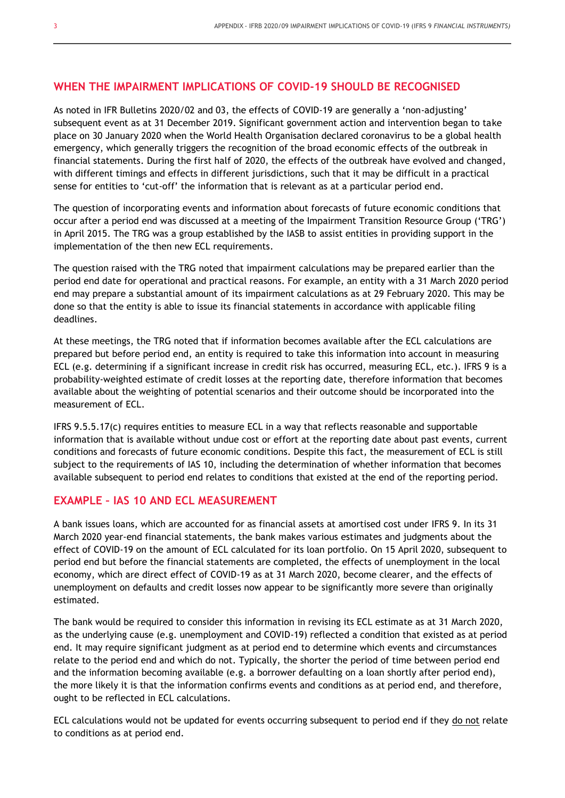#### **WHEN THE IMPAIRMENT IMPLICATIONS OF COVID-19 SHOULD BE RECOGNISED**

As noted in IFR Bulletins 2020/02 and 03, the effects of COVID-19 are generally a 'non-adjusting' subsequent event as at 31 December 2019. Significant government action and intervention began to take place on 30 January 2020 when the World Health Organisation declared coronavirus to be a global health emergency, which generally triggers the recognition of the broad economic effects of the outbreak in financial statements. During the first half of 2020, the effects of the outbreak have evolved and changed, with different timings and effects in different jurisdictions, such that it may be difficult in a practical sense for entities to 'cut-off' the information that is relevant as at a particular period end.

The question of incorporating events and information about forecasts of future economic conditions that occur after a period end was discussed at a meeting of the Impairment Transition Resource Group ('TRG') in April 2015. The TRG was a group established by the IASB to assist entities in providing support in the implementation of the then new ECL requirements.

The question raised with the TRG noted that impairment calculations may be prepared earlier than the period end date for operational and practical reasons. For example, an entity with a 31 March 2020 period end may prepare a substantial amount of its impairment calculations as at 29 February 2020. This may be done so that the entity is able to issue its financial statements in accordance with applicable filing deadlines.

At these meetings, the TRG noted that if information becomes available after the ECL calculations are prepared but before period end, an entity is required to take this information into account in measuring ECL (e.g. determining if a significant increase in credit risk has occurred, measuring ECL, etc.). IFRS 9 is a probability-weighted estimate of credit losses at the reporting date, therefore information that becomes available about the weighting of potential scenarios and their outcome should be incorporated into the measurement of ECL.

IFRS 9.5.5.17(c) requires entities to measure ECL in a way that reflects reasonable and supportable information that is available without undue cost or effort at the reporting date about past events, current conditions and forecasts of future economic conditions. Despite this fact, the measurement of ECL is still subject to the requirements of IAS 10, including the determination of whether information that becomes available subsequent to period end relates to conditions that existed at the end of the reporting period.

#### **EXAMPLE – IAS 10 AND ECL MEASUREMENT**

A bank issues loans, which are accounted for as financial assets at amortised cost under IFRS 9. In its 31 March 2020 year-end financial statements, the bank makes various estimates and judgments about the effect of COVID-19 on the amount of ECL calculated for its loan portfolio. On 15 April 2020, subsequent to period end but before the financial statements are completed, the effects of unemployment in the local economy, which are direct effect of COVID-19 as at 31 March 2020, become clearer, and the effects of unemployment on defaults and credit losses now appear to be significantly more severe than originally estimated.

The bank would be required to consider this information in revising its ECL estimate as at 31 March 2020, as the underlying cause (e.g. unemployment and COVID-19) reflected a condition that existed as at period end. It may require significant judgment as at period end to determine which events and circumstances relate to the period end and which do not. Typically, the shorter the period of time between period end and the information becoming available (e.g. a borrower defaulting on a loan shortly after period end), the more likely it is that the information confirms events and conditions as at period end, and therefore, ought to be reflected in ECL calculations.

ECL calculations would not be updated for events occurring subsequent to period end if they do not relate to conditions as at period end.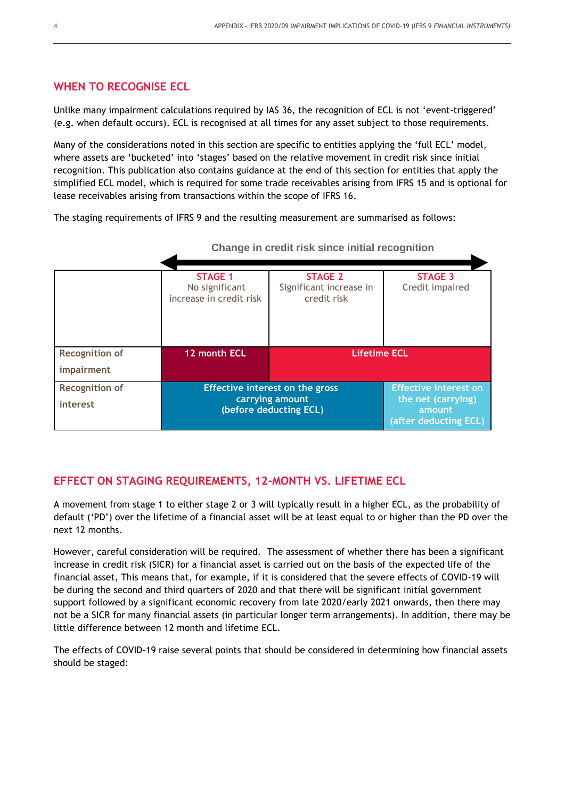#### **WHEN TO RECOGNISE ECL**

Unlike many impairment calculations required by IAS 36, the recognition of ECL is not 'event-triggered' (e.g. when default occurs). ECL is recognised at all times for any asset subject to those requirements.

Many of the considerations noted in this section are specific to entities applying the 'full ECL' model, where assets are 'bucketed' into 'stages' based on the relative movement in credit risk since initial recognition. This publication also contains guidance at the end of this section for entities that apply the simplified ECL model, which is required for some trade receivables arising from IFRS 15 and is optional for lease receivables arising from transactions within the scope of IFRS 16.

The staging requirements of IFRS 9 and the resulting measurement are summarised as follows:

|                                     | <b>STAGE 1</b><br>No significant<br>increase in credit risk                  | <b>STAGE 2</b><br>Significant increase in<br>credit risk | <b>STAGE 3</b><br>Credit impaired                                                     |
|-------------------------------------|------------------------------------------------------------------------------|----------------------------------------------------------|---------------------------------------------------------------------------------------|
| <b>Recognition of</b><br>impairment | 12 month ECL                                                                 | <b>Lifetime ECL</b>                                      |                                                                                       |
| <b>Recognition of</b><br>interest   | Effective interest on the gross<br>carrying amount<br>(before deducting ECL) |                                                          | <b>Effective interest on</b><br>the net (carrying)<br>amount<br>(after deducting ECL) |

**Change in credit risk since initial recognition**

#### **EFFECT ON STAGING REQUIREMENTS, 12-MONTH VS. LIFETIME ECL**

A movement from stage 1 to either stage 2 or 3 will typically result in a higher ECL, as the probability of default ('PD') over the lifetime of a financial asset will be at least equal to or higher than the PD over the next 12 months.

However, careful consideration will be required. The assessment of whether there has been a significant increase in credit risk (SICR) for a financial asset is carried out on the basis of the expected life of the financial asset, This means that, for example, if it is considered that the severe effects of COVID-19 will be during the second and third quarters of 2020 and that there will be significant initial government support followed by a significant economic recovery from late 2020/early 2021 onwards, then there may not be a SICR for many financial assets (in particular longer term arrangements). In addition, there may be little difference between 12 month and lifetime ECL.

The effects of COVID-19 raise several points that should be considered in determining how financial assets should be staged: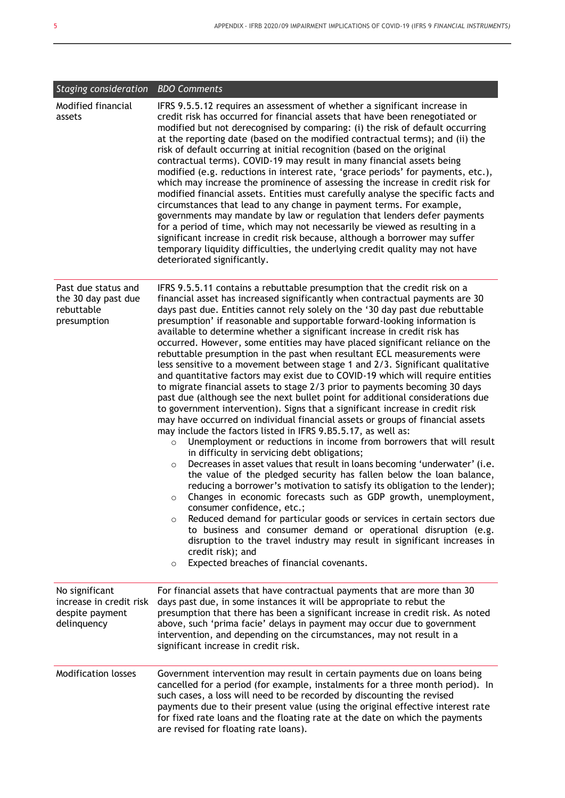| Staging consideration BDO Comments                                          |                                                                                                                                                                                                                                                                                                                                                                                                                                                                                                                                                                                                                                                                                                                                                                                                                                                                                                                                                                                                                                                                                                                                                                                                                                                                                                                                                                                                                                                                                                                                                                                                                                                                                                                                                                                                                                                                                                                                                       |  |  |
|-----------------------------------------------------------------------------|-------------------------------------------------------------------------------------------------------------------------------------------------------------------------------------------------------------------------------------------------------------------------------------------------------------------------------------------------------------------------------------------------------------------------------------------------------------------------------------------------------------------------------------------------------------------------------------------------------------------------------------------------------------------------------------------------------------------------------------------------------------------------------------------------------------------------------------------------------------------------------------------------------------------------------------------------------------------------------------------------------------------------------------------------------------------------------------------------------------------------------------------------------------------------------------------------------------------------------------------------------------------------------------------------------------------------------------------------------------------------------------------------------------------------------------------------------------------------------------------------------------------------------------------------------------------------------------------------------------------------------------------------------------------------------------------------------------------------------------------------------------------------------------------------------------------------------------------------------------------------------------------------------------------------------------------------------|--|--|
| Modified financial<br>assets                                                | IFRS 9.5.5.12 requires an assessment of whether a significant increase in<br>credit risk has occurred for financial assets that have been renegotiated or<br>modified but not derecognised by comparing: (i) the risk of default occurring<br>at the reporting date (based on the modified contractual terms); and (ii) the<br>risk of default occurring at initial recognition (based on the original<br>contractual terms). COVID-19 may result in many financial assets being<br>modified (e.g. reductions in interest rate, 'grace periods' for payments, etc.),<br>which may increase the prominence of assessing the increase in credit risk for<br>modified financial assets. Entities must carefully analyse the specific facts and<br>circumstances that lead to any change in payment terms. For example,<br>governments may mandate by law or regulation that lenders defer payments<br>for a period of time, which may not necessarily be viewed as resulting in a<br>significant increase in credit risk because, although a borrower may suffer<br>temporary liquidity difficulties, the underlying credit quality may not have<br>deteriorated significantly.                                                                                                                                                                                                                                                                                                                                                                                                                                                                                                                                                                                                                                                                                                                                                                          |  |  |
| Past due status and<br>the 30 day past due<br>rebuttable<br>presumption     | IFRS 9.5.5.11 contains a rebuttable presumption that the credit risk on a<br>financial asset has increased significantly when contractual payments are 30<br>days past due. Entities cannot rely solely on the '30 day past due rebuttable<br>presumption' if reasonable and supportable forward-looking information is<br>available to determine whether a significant increase in credit risk has<br>occurred. However, some entities may have placed significant reliance on the<br>rebuttable presumption in the past when resultant ECL measurements were<br>less sensitive to a movement between stage 1 and 2/3. Significant qualitative<br>and quantitative factors may exist due to COVID-19 which will require entities<br>to migrate financial assets to stage 2/3 prior to payments becoming 30 days<br>past due (although see the next bullet point for additional considerations due<br>to government intervention). Signs that a significant increase in credit risk<br>may have occurred on individual financial assets or groups of financial assets<br>may include the factors listed in IFRS 9.B5.5.17, as well as:<br>Unemployment or reductions in income from borrowers that will result<br>$\circ$<br>in difficulty in servicing debt obligations;<br>Decreases in asset values that result in loans becoming 'underwater' (i.e.<br>$\circ$<br>the value of the pledged security has fallen below the loan balance,<br>reducing a borrower's motivation to satisfy its obligation to the lender);<br>Changes in economic forecasts such as GDP growth, unemployment,<br>$\circ$<br>consumer confidence, etc.;<br>Reduced demand for particular goods or services in certain sectors due<br>$\circ$<br>to business and consumer demand or operational disruption (e.g.<br>disruption to the travel industry may result in significant increases in<br>credit risk); and<br>Expected breaches of financial covenants.<br>$\circ$ |  |  |
| No significant<br>increase in credit risk<br>despite payment<br>delinquency | For financial assets that have contractual payments that are more than 30<br>days past due, in some instances it will be appropriate to rebut the<br>presumption that there has been a significant increase in credit risk. As noted<br>above, such 'prima facie' delays in payment may occur due to government<br>intervention, and depending on the circumstances, may not result in a<br>significant increase in credit risk.                                                                                                                                                                                                                                                                                                                                                                                                                                                                                                                                                                                                                                                                                                                                                                                                                                                                                                                                                                                                                                                                                                                                                                                                                                                                                                                                                                                                                                                                                                                      |  |  |
| Modification losses                                                         | Government intervention may result in certain payments due on loans being<br>cancelled for a period (for example, instalments for a three month period). In<br>such cases, a loss will need to be recorded by discounting the revised<br>payments due to their present value (using the original effective interest rate<br>for fixed rate loans and the floating rate at the date on which the payments<br>are revised for floating rate loans).                                                                                                                                                                                                                                                                                                                                                                                                                                                                                                                                                                                                                                                                                                                                                                                                                                                                                                                                                                                                                                                                                                                                                                                                                                                                                                                                                                                                                                                                                                     |  |  |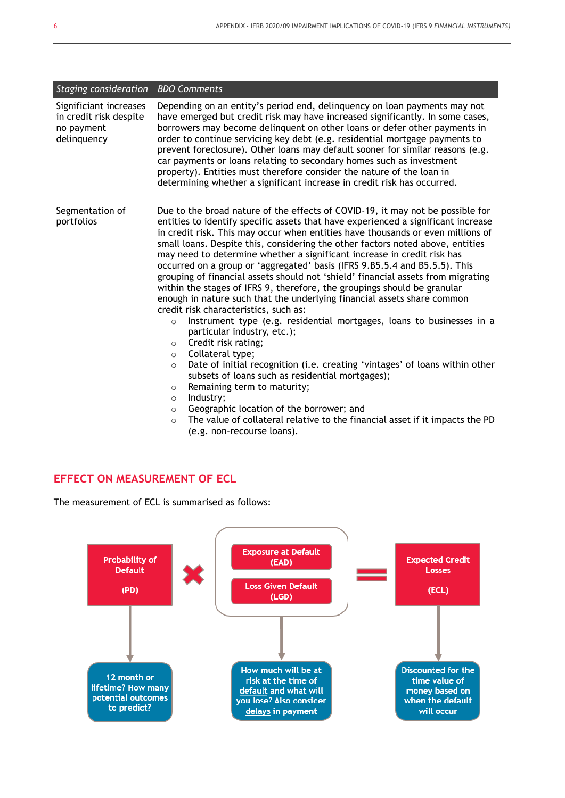| Staging consideration                                                         | <b>BDO Comments</b>                                                                                                                                                                                                                                                                                                                                                                                                                                                                                                                                                                                                                                                                                                                                                                                                                                                                                                                                                                                                                                                                                                                                                                                                                                                                                                                                                       |
|-------------------------------------------------------------------------------|---------------------------------------------------------------------------------------------------------------------------------------------------------------------------------------------------------------------------------------------------------------------------------------------------------------------------------------------------------------------------------------------------------------------------------------------------------------------------------------------------------------------------------------------------------------------------------------------------------------------------------------------------------------------------------------------------------------------------------------------------------------------------------------------------------------------------------------------------------------------------------------------------------------------------------------------------------------------------------------------------------------------------------------------------------------------------------------------------------------------------------------------------------------------------------------------------------------------------------------------------------------------------------------------------------------------------------------------------------------------------|
| Significiant increases<br>in credit risk despite<br>no payment<br>delinquency | Depending on an entity's period end, delinguency on loan payments may not<br>have emerged but credit risk may have increased significantly. In some cases,<br>borrowers may become delinguent on other loans or defer other payments in<br>order to continue servicing key debt (e.g. residential mortgage payments to<br>prevent foreclosure). Other loans may default sooner for similar reasons (e.g.<br>car payments or loans relating to secondary homes such as investment<br>property). Entities must therefore consider the nature of the loan in<br>determining whether a significant increase in credit risk has occurred.                                                                                                                                                                                                                                                                                                                                                                                                                                                                                                                                                                                                                                                                                                                                      |
| Segmentation of<br>portfolios                                                 | Due to the broad nature of the effects of COVID-19, it may not be possible for<br>entities to identify specific assets that have experienced a significant increase<br>in credit risk. This may occur when entities have thousands or even millions of<br>small loans. Despite this, considering the other factors noted above, entities<br>may need to determine whether a significant increase in credit risk has<br>occurred on a group or 'aggregated' basis (IFRS 9.B5.5.4 and B5.5.5). This<br>grouping of financial assets should not 'shield' financial assets from migrating<br>within the stages of IFRS 9, therefore, the groupings should be granular<br>enough in nature such that the underlying financial assets share common<br>credit risk characteristics, such as:<br>Instrument type (e.g. residential mortgages, loans to businesses in a<br>$\circ$<br>particular industry, etc.);<br>Credit risk rating;<br>$\circ$<br>Collateral type;<br>$\circ$<br>Date of initial recognition (i.e. creating 'vintages' of loans within other<br>$\circ$<br>subsets of loans such as residential mortgages);<br>Remaining term to maturity;<br>$\circ$<br>Industry;<br>$\circ$<br>Geographic location of the borrower; and<br>$\circ$<br>The value of collateral relative to the financial asset if it impacts the PD<br>$\circ$<br>(e.g. non-recourse loans). |

#### **EFFECT ON MEASUREMENT OF ECL**

The measurement of ECL is summarised as follows:

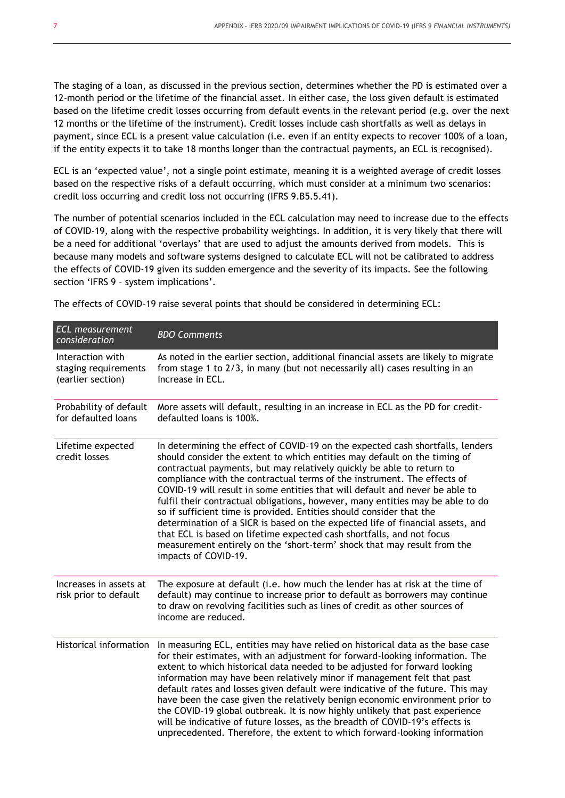The staging of a loan, as discussed in the previous section, determines whether the PD is estimated over a 12-month period or the lifetime of the financial asset. In either case, the loss given default is estimated based on the lifetime credit losses occurring from default events in the relevant period (e.g. over the next 12 months or the lifetime of the instrument). Credit losses include cash shortfalls as well as delays in payment, since ECL is a present value calculation (i.e. even if an entity expects to recover 100% of a loan, if the entity expects it to take 18 months longer than the contractual payments, an ECL is recognised).

ECL is an 'expected value', not a single point estimate, meaning it is a weighted average of credit losses based on the respective risks of a default occurring, which must consider at a minimum two scenarios: credit loss occurring and credit loss not occurring (IFRS 9.B5.5.41).

The number of potential scenarios included in the ECL calculation may need to increase due to the effects of COVID-19, along with the respective probability weightings. In addition, it is very likely that there will be a need for additional 'overlays' that are used to adjust the amounts derived from models. This is because many models and software systems designed to calculate ECL will not be calibrated to address the effects of COVID-19 given its sudden emergence and the severity of its impacts. See the following section 'IFRS 9 – system implications'.

| <b>ECL</b> measurement<br>consideration                       | <b>BDO Comments</b>                                                                                                                                                                                                                                                                                                                                                                                                                                                                                                                                                                                                                                                                                                                                                                                                     |
|---------------------------------------------------------------|-------------------------------------------------------------------------------------------------------------------------------------------------------------------------------------------------------------------------------------------------------------------------------------------------------------------------------------------------------------------------------------------------------------------------------------------------------------------------------------------------------------------------------------------------------------------------------------------------------------------------------------------------------------------------------------------------------------------------------------------------------------------------------------------------------------------------|
| Interaction with<br>staging requirements<br>(earlier section) | As noted in the earlier section, additional financial assets are likely to migrate<br>from stage 1 to 2/3, in many (but not necessarily all) cases resulting in an<br>increase in ECL.                                                                                                                                                                                                                                                                                                                                                                                                                                                                                                                                                                                                                                  |
| Probability of default<br>for defaulted loans                 | More assets will default, resulting in an increase in ECL as the PD for credit-<br>defaulted loans is 100%.                                                                                                                                                                                                                                                                                                                                                                                                                                                                                                                                                                                                                                                                                                             |
| Lifetime expected<br>credit losses                            | In determining the effect of COVID-19 on the expected cash shortfalls, lenders<br>should consider the extent to which entities may default on the timing of<br>contractual payments, but may relatively quickly be able to return to<br>compliance with the contractual terms of the instrument. The effects of<br>COVID-19 will result in some entities that will default and never be able to<br>fulfil their contractual obligations, however, many entities may be able to do<br>so if sufficient time is provided. Entities should consider that the<br>determination of a SICR is based on the expected life of financial assets, and<br>that ECL is based on lifetime expected cash shortfalls, and not focus<br>measurement entirely on the 'short-term' shock that may result from the<br>impacts of COVID-19. |
| Increases in assets at<br>risk prior to default               | The exposure at default (i.e. how much the lender has at risk at the time of<br>default) may continue to increase prior to default as borrowers may continue<br>to draw on revolving facilities such as lines of credit as other sources of<br>income are reduced.                                                                                                                                                                                                                                                                                                                                                                                                                                                                                                                                                      |
| <b>Historical information</b>                                 | In measuring ECL, entities may have relied on historical data as the base case<br>for their estimates, with an adjustment for forward-looking information. The<br>extent to which historical data needed to be adjusted for forward looking<br>information may have been relatively minor if management felt that past<br>default rates and losses given default were indicative of the future. This may<br>have been the case given the relatively benign economic environment prior to<br>the COVID-19 global outbreak. It is now highly unlikely that past experience<br>will be indicative of future losses, as the breadth of COVID-19's effects is<br>unprecedented. Therefore, the extent to which forward-looking information                                                                                   |

The effects of COVID-19 raise several points that should be considered in determining ECL: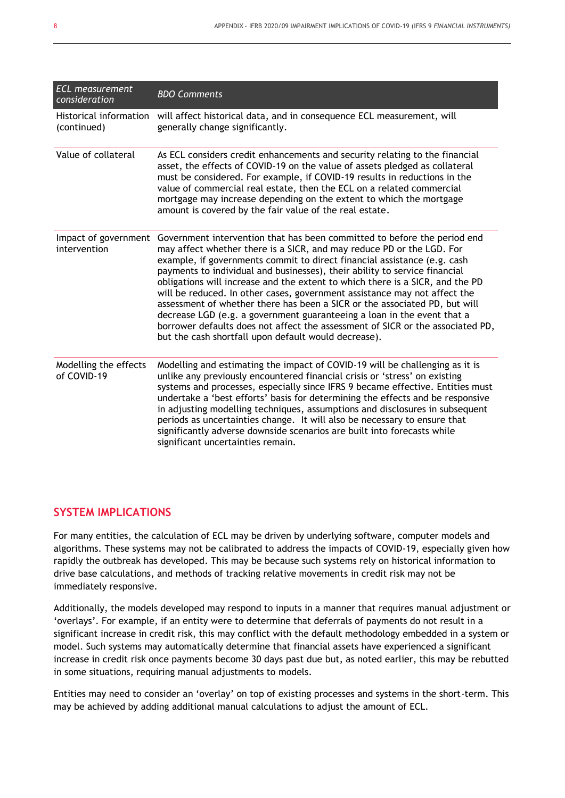| <b>ECL</b> measurement<br>consideration | <b>BDO Comments</b>                                                                                                                                                                                                                                                                                                                                                                                                                                                                                                                                                                                                                                                                                                                                                          |
|-----------------------------------------|------------------------------------------------------------------------------------------------------------------------------------------------------------------------------------------------------------------------------------------------------------------------------------------------------------------------------------------------------------------------------------------------------------------------------------------------------------------------------------------------------------------------------------------------------------------------------------------------------------------------------------------------------------------------------------------------------------------------------------------------------------------------------|
| (continued)                             | Historical information will affect historical data, and in consequence ECL measurement, will<br>generally change significantly.                                                                                                                                                                                                                                                                                                                                                                                                                                                                                                                                                                                                                                              |
| Value of collateral                     | As ECL considers credit enhancements and security relating to the financial<br>asset, the effects of COVID-19 on the value of assets pledged as collateral<br>must be considered. For example, if COVID-19 results in reductions in the<br>value of commercial real estate, then the ECL on a related commercial<br>mortgage may increase depending on the extent to which the mortgage<br>amount is covered by the fair value of the real estate.                                                                                                                                                                                                                                                                                                                           |
| Impact of government<br>intervention    | Government intervention that has been committed to before the period end<br>may affect whether there is a SICR, and may reduce PD or the LGD. For<br>example, if governments commit to direct financial assistance (e.g. cash<br>payments to individual and businesses), their ability to service financial<br>obligations will increase and the extent to which there is a SICR, and the PD<br>will be reduced. In other cases, government assistance may not affect the<br>assessment of whether there has been a SICR or the associated PD, but will<br>decrease LGD (e.g. a government guaranteeing a loan in the event that a<br>borrower defaults does not affect the assessment of SICR or the associated PD,<br>but the cash shortfall upon default would decrease). |
| Modelling the effects<br>of COVID-19    | Modelling and estimating the impact of COVID-19 will be challenging as it is<br>unlike any previously encountered financial crisis or 'stress' on existing<br>systems and processes, especially since IFRS 9 became effective. Entities must<br>undertake a 'best efforts' basis for determining the effects and be responsive<br>in adjusting modelling techniques, assumptions and disclosures in subsequent<br>periods as uncertainties change. It will also be necessary to ensure that<br>significantly adverse downside scenarios are built into forecasts while<br>significant uncertainties remain.                                                                                                                                                                  |

#### **SYSTEM IMPLICATIONS**

For many entities, the calculation of ECL may be driven by underlying software, computer models and algorithms. These systems may not be calibrated to address the impacts of COVID-19, especially given how rapidly the outbreak has developed. This may be because such systems rely on historical information to drive base calculations, and methods of tracking relative movements in credit risk may not be immediately responsive.

Additionally, the models developed may respond to inputs in a manner that requires manual adjustment or 'overlays'. For example, if an entity were to determine that deferrals of payments do not result in a significant increase in credit risk, this may conflict with the default methodology embedded in a system or model. Such systems may automatically determine that financial assets have experienced a significant increase in credit risk once payments become 30 days past due but, as noted earlier, this may be rebutted in some situations, requiring manual adjustments to models.

Entities may need to consider an 'overlay' on top of existing processes and systems in the short-term. This may be achieved by adding additional manual calculations to adjust the amount of ECL.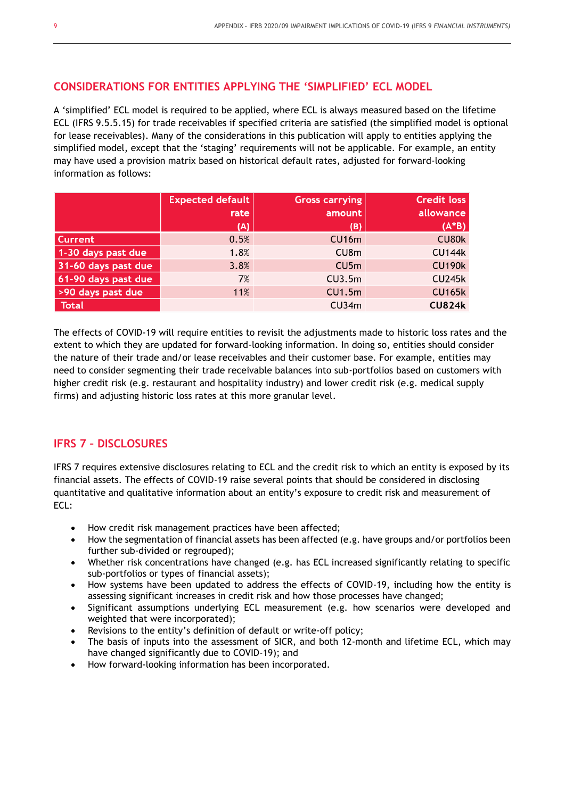#### **CONSIDERATIONS FOR ENTITIES APPLYING THE 'SIMPLIFIED' ECL MODEL**

A 'simplified' ECL model is required to be applied, where ECL is always measured based on the lifetime ECL (IFRS 9.5.5.15) for trade receivables if specified criteria are satisfied (the simplified model is optional for lease receivables). Many of the considerations in this publication will apply to entities applying the simplified model, except that the 'staging' requirements will not be applicable. For example, an entity may have used a provision matrix based on historical default rates, adjusted for forward-looking information as follows:

|                     | <b>Expected default</b><br>rate | <b>Gross carrying</b><br>amount | <b>Credit loss</b><br>allowance |
|---------------------|---------------------------------|---------------------------------|---------------------------------|
|                     | (A)                             | (B)                             | $(A*B)$                         |
| <b>Current</b>      | 0.5%                            | CU16m                           | CU80k                           |
| 1-30 days past due  | 1.8%                            | CU8m                            | <b>CU144k</b>                   |
| 31-60 days past due | 3.8%                            | CU5m                            | <b>CU190k</b>                   |
| 61-90 days past due | 7%                              | CU3.5m                          | <b>CU245k</b>                   |
| >90 days past due   | 11%                             | CU1.5m                          | <b>CU165k</b>                   |
| <b>Total</b>        |                                 | CU34m                           | <b>CU824k</b>                   |

The effects of COVID-19 will require entities to revisit the adjustments made to historic loss rates and the extent to which they are updated for forward-looking information. In doing so, entities should consider the nature of their trade and/or lease receivables and their customer base. For example, entities may need to consider segmenting their trade receivable balances into sub-portfolios based on customers with higher credit risk (e.g. restaurant and hospitality industry) and lower credit risk (e.g. medical supply firms) and adjusting historic loss rates at this more granular level.

#### **IFRS 7 – DISCLOSURES**

IFRS 7 requires extensive disclosures relating to ECL and the credit risk to which an entity is exposed by its financial assets. The effects of COVID-19 raise several points that should be considered in disclosing quantitative and qualitative information about an entity's exposure to credit risk and measurement of ECL:

- How credit risk management practices have been affected;
- How the segmentation of financial assets has been affected (e.g. have groups and/or portfolios been further sub-divided or regrouped);
- Whether risk concentrations have changed (e.g. has ECL increased significantly relating to specific sub-portfolios or types of financial assets);
- How systems have been updated to address the effects of COVID-19, including how the entity is assessing significant increases in credit risk and how those processes have changed;
- Significant assumptions underlying ECL measurement (e.g. how scenarios were developed and weighted that were incorporated);
- Revisions to the entity's definition of default or write-off policy;
- The basis of inputs into the assessment of SICR, and both 12-month and lifetime ECL, which may have changed significantly due to COVID-19); and
- How forward-looking information has been incorporated.